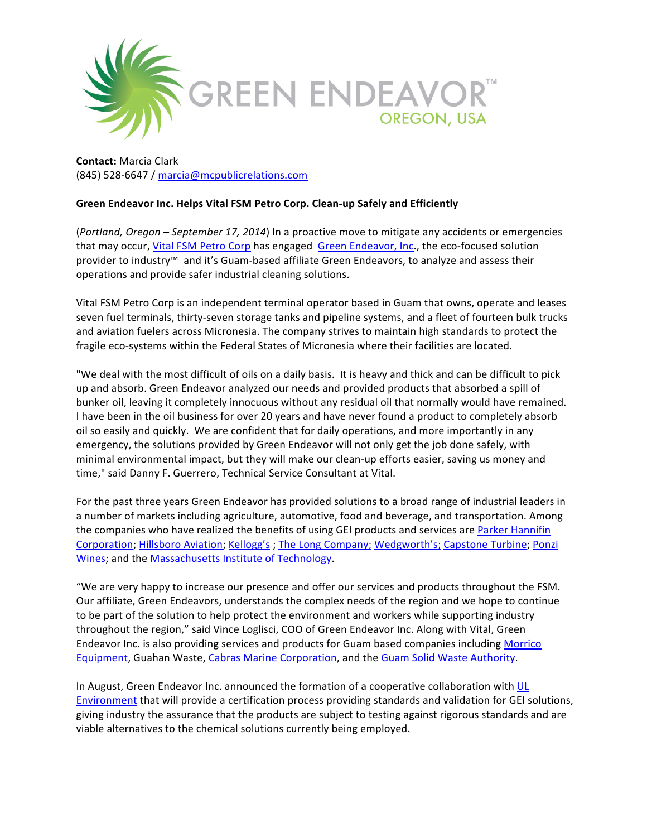

**Contact:** Marcia Clark (845) 528-6647 / marcia@mcpublicrelations.com

## Green Endeavor Inc. Helps Vital FSM Petro Corp. Clean-up Safely and Efficiently

(*Portland, Oregon – September 17, 2014*) In a proactive move to mitigate any accidents or emergencies that may occur, Vital FSM Petro Corp has engaged Green Endeavor, Inc., the eco-focused solution provider to industry™ and it's Guam-based affiliate Green Endeavors, to analyze and assess their operations and provide safer industrial cleaning solutions.

Vital FSM Petro Corp is an independent terminal operator based in Guam that owns, operate and leases seven fuel terminals, thirty-seven storage tanks and pipeline systems, and a fleet of fourteen bulk trucks and aviation fuelers across Micronesia. The company strives to maintain high standards to protect the fragile eco-systems within the Federal States of Micronesia where their facilities are located.

"We deal with the most difficult of oils on a daily basis. It is heavy and thick and can be difficult to pick up and absorb. Green Endeavor analyzed our needs and provided products that absorbed a spill of bunker oil, leaving it completely innocuous without any residual oil that normally would have remained. I have been in the oil business for over 20 years and have never found a product to completely absorb oil so easily and quickly. We are confident that for daily operations, and more importantly in any emergency, the solutions provided by Green Endeavor will not only get the job done safely, with minimal environmental impact, but they will make our clean-up efforts easier, saving us money and time," said Danny F. Guerrero, Technical Service Consultant at Vital.

For the past three years Green Endeavor has provided solutions to a broad range of industrial leaders in a number of markets including agriculture, automotive, food and beverage, and transportation. Among the companies who have realized the benefits of using GEI products and services are Parker Hannifin Corporation; Hillsboro Aviation; Kellogg's; The Long Company; Wedgworth's; Capstone Turbine; Ponzi Wines; and the Massachusetts Institute of Technology.

"We are very happy to increase our presence and offer our services and products throughout the FSM. Our affiliate, Green Endeavors, understands the complex needs of the region and we hope to continue to be part of the solution to help protect the environment and workers while supporting industry throughout the region," said Vince Loglisci, COO of Green Endeavor Inc. Along with Vital, Green Endeavor Inc. is also providing services and products for Guam based companies including Morrico Equipment, Guahan Waste, Cabras Marine Corporation, and the Guam Solid Waste Authority.

In August, Green Endeavor Inc. announced the formation of a cooperative collaboration with UL Environment that will provide a certification process providing standards and validation for GEI solutions, giving industry the assurance that the products are subject to testing against rigorous standards and are viable alternatives to the chemical solutions currently being employed.